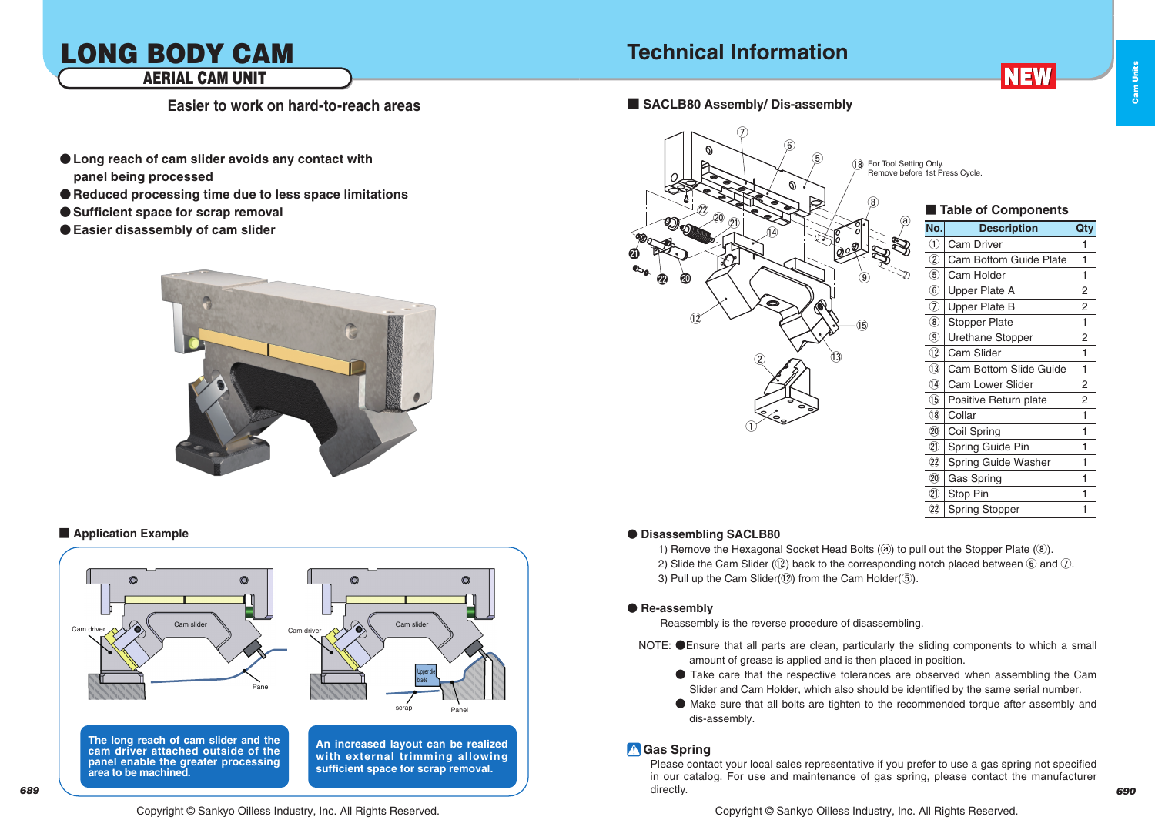## LONG BODY CAM AERIAL CAM UNIT

**Easier to work on hard-to-reach areas ■ SACLB80 Assembly/ Dis-assembly**

- $\bullet$  Long reach of cam slider avoids any contact with  **panel being processed**
- $\bullet$  **Reduced processing time due to less space limitations**
- Sufficient space for scrap removal
- $\bullet$  **Easier disassembly of cam slider**



#### **Application Example**



#### Copyright © Sankyo Oilless Industry, Inc. All Rights Reserved. Copyright © Sankyo Oilless Industry, Inc. All Rights Reserved.



**NEW** 

Cam Units

Cam Units

|                 | Table of Components     |                |
|-----------------|-------------------------|----------------|
| No.             | <b>Description</b>      | Qty            |
| T               | <b>Cam Driver</b>       | 1              |
| $\Omega$        | Cam Bottom Guide Plate  | 1              |
| 5)              | Cam Holder              | 1              |
| $\widehat{6}$   | Upper Plate A           | $\overline{2}$ |
| T)              | <b>Upper Plate B</b>    | $\overline{2}$ |
| $\circledast$   | <b>Stopper Plate</b>    | 1              |
| 9)              | Urethane Stopper        | 2              |
| 12              | Cam Slider              | 1              |
| $\overline{13}$ | Cam Bottom Slide Guide  | 1              |
| I4)             | <b>Cam Lower Slider</b> | $\overline{2}$ |
| 15)             | Positive Return plate   | 2              |
| 18)             | Collar                  | 1              |
| 20              | Coil Spring             | 1              |
| 21)             | Spring Guide Pin        | 1              |
| 22)             | Spring Guide Washer     | 1              |
| 20              | Gas Spring              | 1              |
| 包               | Stop Pin                | 1              |
| 22)             | <b>Spring Stopper</b>   | 1              |

#### $\bullet$  Disassembling SACLB80

1) Remove the Hexagonal Socket Head Bolts  $(③)$  to pull out the Stopper Plate  $(③)$ . 2) Slide the Cam Slider ( $\overline{12}$ ) back to the corresponding notch placed between  $\overline{6}$  and  $\overline{7}$ ). 3) Pull up the Cam Slider( $(2)$ ) from the Cam Holder( $(5)$ ).

#### ● Re-assembly

Reassembly is the reverse procedure of disassembling.

- NOTE: CEnsure that all parts are clean, particularly the sliding components to which a small amount of grease is applied and is then placed in position.
	- $\bullet$  Take care that the respective tolerances are observed when assembling the Cam Slider and Cam Holder, which also should be identified by the same serial number.
	- $\bullet$  Make sure that all bolts are tighten to the recommended torque after assembly and dis-assembly.

### *I* Gas Spring

Please contact your local sales representative if you prefer to use a gas spring not specified in our catalog. For use and maintenance of gas spring, please contact the manufacturer directly.